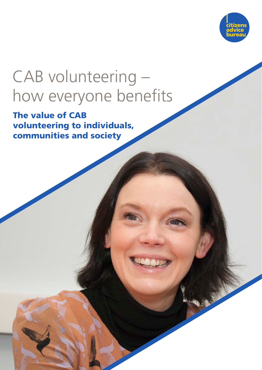

# CAB volunteering – how everyone benefits

The value of CAB volunteering to individuals, communities and society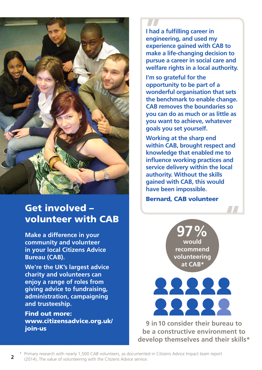

# Get involved – volunteer with CAB

**Make a difference in your community and volunteer in your local Citizens Advice Bureau (CAB).**

**We're the UK's largest advice charity and volunteers can enjoy a range of roles from giving advice to fundraising, administration, campaigning and trusteeship.**

Find out more: www.citizensadvice.org.uk/ join-us

**I had a fulfilling career in engineering, and used my experience gained with CAB to make a life-changing decision to pursue a career in social care and welfare rights in a local authority.** 

**I'm so grateful for the opportunity to be part of a wonderful organisation that sets the benchmark to enable change. CAB removes the boundaries so you can do as much or as little as you want to achieve, whatever goals you set yourself.** 

**Working at the sharp end within CAB, brought respect and knowledge that enabled me to influence working practices and service delivery within the local authority. Without the skills gained with CAB, this would have been impossible.** 





**9 in10 consider their bureau to be a constructive environment to develop themselves and their skills\***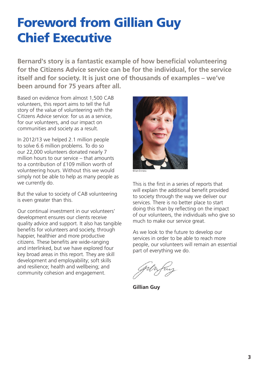# Foreword from Gillian Guy Chief Executive

**Bernard's story is a fantastic example of how beneficial volunteering for the Citizens Advice service can be for the individual, for the service itself and for society. It is just one of thousands of examples – we've been around for 75 years after all.** 

Based on evidence from almost 1,500 CAB volunteers, this report aims to tell the full story of the value of volunteering with the Citizens Advice service: for us as a service, for our volunteers, and our impact on communities and society as a result.

In 2012/13 we helped 2.1 million people to solve 6.6 million problems. To do so our 22,000 volunteers donated nearly 7 million hours to our service – that amounts to a contribution of £109 million worth of volunteering hours. Without this we would simply not be able to help as many people as we currently do.

But the value to society of CAB volunteering is even greater than this.

Our continual investment in our volunteers' development ensures our clients receive quality advice and support. It also has tangible benefits for volunteers and society, through happier, healthier and more productive citizens. These benefits are wide-ranging and interlinked, but we have explored four key broad areas in this report. They are skill development and employability; soft skills and resilience; health and wellbeing; and community cohesion and engagement.



© Ian Enness

This is the first in a series of reports that will explain the additional benefit provided to society through the way we deliver our services. There is no better place to start doing this than by reflecting on the impact of our volunteers, the individuals who give so much to make our service great.

As we look to the future to develop our services in order to be able to reach more people, our volunteers will remain an essential part of everything we do.

**Gillian Guy**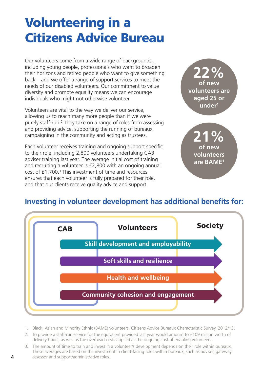# Volunteering in a Citizens Advice Bureau

Our volunteers come from a wide range of backgrounds, including young people, professionals who want to broaden their horizons and retired people who want to give something back – and we offer a range of support services to meet the needs of our disabled volunteers. Our commitment to value diversity and promote equality means we can encourage individuals who might not otherwise volunteer.

Volunteers are vital to the way we deliver our service, allowing us to reach many more people than if we were purely staff-run.2 They take on a range of roles from assessing and providing advice, supporting the running of bureaux, campaigning in the community and acting as trustees.

Each volunteer receives training and ongoing support specific to their role, including 2,800 volunteers undertaking CAB adviser training last year. The average initial cost of training and recruiting a volunteer is £2,800 with an ongoing annual  $cost$  of  $£1,700.3$  This investment of time and resources ensures that each volunteer is fully prepared for their role, and that our clients receive quality advice and support.



**21% of new volunteers are BAME1**

# **Investing in volunteer development has additional benefits for:**



- 1. Black, Asian and Minority Ethnic (BAME) volunteers. Citizens Advice Bureaux Characteristic Survey, 2012/13.
- 2. To provide a staff-run service for the equivalent provided last year would amount to £109 million worth of delivery hours, as well as the overhead costs applied as the ongoing cost of enabling volunteers.
- 3. The amount of time to train and invest in a volunteer's development depends on their role within bureaux. These averages are based on the investment in client-facing roles within bureaux, such as adviser, gateway assessor and support/administrative roles.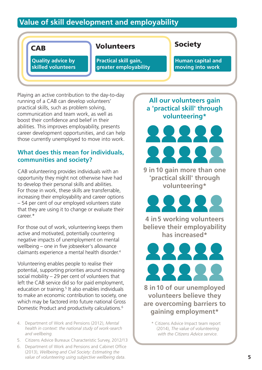# **Value of skill development and employability**



Playing an active contribution to the day-to-day running of a CAB can develop volunteers' practical skills, such as problem solving, communication and team work, as well as boost their confidence and belief in their abilities. This improves employability, presents career development opportunities, and can help those currently unemployed to move into work.

### **What does this mean for individuals, communities and society?**

CAB volunteering provides individuals with an opportunity they might not otherwise have had to develop their personal skills and abilities. For those in work, these skills are transferrable, increasing their employability and career options – 54 per cent of our employed volunteers state that they are using it to change or evaluate their career.\*

For those out of work, volunteering keeps them active and motivated, potentially countering negative impacts of unemployment on mental wellbeing – one in five jobseeker's allowance claimants experience a mental health disorder.4

Volunteering enables people to realise their potential, supporting priorities around increasing social mobility – 29 per cent of volunteers that left the CAB service did so for paid employment, education or training.<sup>5</sup> It also enables individuals to make an economic contribution to society, one which may be factored into future national Gross Domestic Product and productivity calculations.6

- 4. Department of Work and Pensions (2012), *Mental health in context: the national study of work-search and wellbeing.*
- 5. Citizens Advice Bureaux Characteristic Survey, 2012/13
- 6. Department of Work and Pensions and Cabinet Office (2013), *Wellbeing and Civil Society: Estimating the value of volunteering using subjective wellbeing data*.

**All our volunteers gain a 'practical skill' through volunteering\***



**9 in10 gain more than one 'practical skill' through volunteering\***



**4 in5 working volunteers believe their employability has increased\***



**8 in10 of our unemployed volunteers believe they are overcoming barriers to gaining employment\***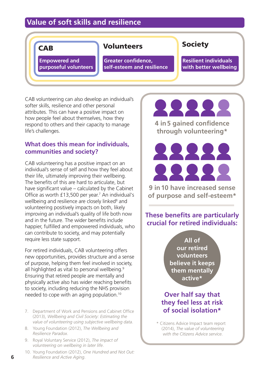# **Value of soft skills and resilience**



CAB volunteering can also develop an individual's softer skills, resilience and other personal attributes. This can have a positive impact on how people feel about themselves, how they respond to others and their capacity to manage life's challenges.

#### **What does this mean for individuals, communities and society?**

CAB volunteering has a positive impact on an individual's sense of self and how they feel about their life, ultimately improving their wellbeing. The benefits of this are hard to articulate, but have significant value – calculated by the Cabinet Office as worth  $£13,500$  per year.<sup>7</sup> An individual's wellbeing and resilience are closely linked<sup>8</sup> and volunteering positively impacts on both, likely improving an individual's quality of life both now and in the future. The wider benefits include happier, fulfilled and empowered individuals, who can contribute to society, and may potentially require less state support.

For retired individuals, CAB volunteering offers new opportunities, provides structure and a sense of purpose, helping them feel involved in society, all highlighted as vital to personal wellbeing.<sup>9</sup> Ensuring that retired people are mentally and physically active also has wider reaching benefits to society, including reducing the NHS provision needed to cope with an aging population.10

- 7. Department of Work and Pensions and Cabinet Office (2013), *Wellbeing and Civil Society: Estimating the value of volunteering using subjective wellbeing data*.
- 8. Young Foundation (2012), *The Wellbeing and Resilience Paradox*.
- 9. Royal Voluntary Service (2012), *The impact of volunteering on wellbeing in later life*.

**6**

10. Young Foundation (2012), *One Hundred and Not Out: Resilience and Active Aging*.

**4 in5 gained confidence through volunteering\***

**9 in10 have increased sense of purpose and self-esteem\***

**These benefits are particularly crucial for retired individuals:**

> **All of our retired volunteers believe it keeps them mentally active\***

### **Over half say that they feel less at risk of social isolation\***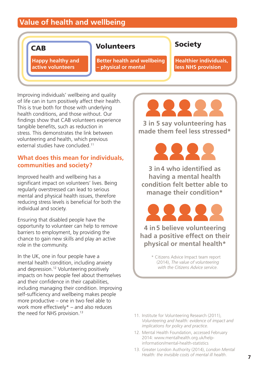# **Value of health and wellbeing**



Improving individuals' wellbeing and quality of life can in turn positively affect their health. This is true both for those with underlying health conditions, and those without. Our findings show that CAB volunteers experience tangible benefits, such as reduction in stress. This demonstrates the link between volunteering and health, which previous external studies have concluded.<sup>11</sup>

#### **What does this mean for individuals, communities and society?**

Improved health and wellbeing has a significant impact on volunteers' lives. Being regularly overstressed can lead to serious mental and physical health issues, therefore reducing stress levels is beneficial for both the individual and society.

Ensuring that disabled people have the opportunity to volunteer can help to remove barriers to employment, by providing the chance to gain new skills and play an active role in the community.

In the UK, one in four people have a mental health condition, including anxiety and depression.12 Volunteering positively impacts on how people feel about themselves and their confidence in their capabilities, including managing their condition. Improving self-sufficiency and wellbeing makes people more productive – one in two feel able to work more effectively\* – and also reduces the need for NHS provision.<sup>13</sup>

**3 in 5 say volunteering has made them feel less stressed\***



**3 in4 who identified as having a mental health condition felt better able to manage their condition\***



**4 in5 believe volunteering had a positive effect on their physical or mental health\***

- 11. Institute for Volunteering Research (2011), *Volunteering and health: evidence of impact and implications for policy and practice*.
- 12. Mental Health Foundation, accessed February 2014: www.mentalhealth.org.uk/helpinformation/mental-health-statistics
- 13. Greater London Authority (2014), *London Mental Health: the invisible costs of mental ill health*.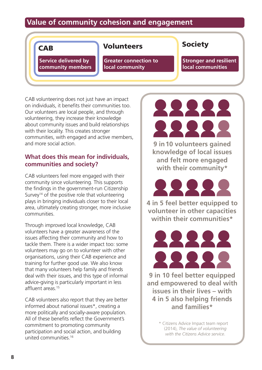## **Value of community cohesion and engagement**



CAB volunteering does not just have an impact on individuals, it benefits their communities too. Our volunteers are local people, and through volunteering, they increase their knowledge about community issues and build relationships with their locality. This creates stronger communities, with engaged and active members, and more social action.

#### **What does this mean for individuals, communities and society?**

CAB volunteers feel more engaged with their community since volunteering. This supports the findings in the government-run Citizenship Survey<sup>14</sup> of the positive role that volunteering plays in bringing individuals closer to their local area, ultimately creating stronger, more inclusive communities.

Through improved local knowledge, CAB volunteers have a greater awareness of the issues affecting their community and how to tackle them. There is a wider impact too: some volunteers may go on to volunteer with other organisations, using their CAB experience and training for further good use. We also know that many volunteers help family and friends deal with their issues, and this type of informal advice-giving is particularly important in less affluent areas.<sup>15</sup>

CAB volunteers also report that they are better informed about national issues\*, creating a more politically and socially-aware population. All of these benefits reflect the Government's commitment to promoting community participation and social action, and building united communities.16



**9 in10 volunteers gained knowledge of local issues and felt more engaged with their community\***



**4 in 5 feel better equipped to volunteer in other capacities within their communities\***



**9 in 10 feel better equipped and empowered to deal with issues in their lives – with 4 in 5 also helping friends and families\***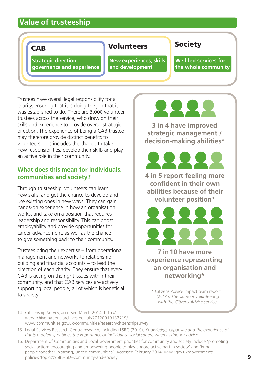# **Value of trusteeship**

CAB Volunteers Society

**Strategic direction, governance and experience** **New experiences, skills and development** 

**Well-led services for the whole community**

Trustees have overall legal responsibility for a charity, ensuring that it is doing the job that it was established to do. There are 3,000 volunteer trustees across the service, who draw on their skills and experience to provide overall strategic direction. The experience of being a CAB trustee may therefore provide distinct benefits to volunteers. This includes the chance to take on new responsibilities, develop their skills and play an active role in their community.

#### **What does this mean for individuals, communities and society?**

Through trusteeship, volunteers can learn new skills, and get the chance to develop and use existing ones in new ways. They can gain hands-on experience in how an organisation works, and take on a position that requires leadership and responsibility. This can boost employability and provide opportunities for career advancement, as well as the chance to give something back to their community.

Trustees bring their expertise – from operational management and networks to relationship building and financial accounts – to lead the direction of each charity. They ensure that every CAB is acting on the right issues within their community, and that CAB services are actively supporting local people, all of which is beneficial to society.



**3 in 4 have improved strategic management / decision-making abilities\***

**4 in 5 report feeling more confident in their own abilities because of their volunteer position\***



### **7 in10 have more experience representing an organisation and networking\***

- 14. Citizenship Survey, accessed March 2014: http:// webarchive.nationalarchives.gov.uk/20120919132719/ www.communities.gov.uk/communities/research/citizenshipsurvey
- 15. Legal Services Research Centre research, including LSRC (2010), *Knowledge, capability and the experience of rights problems, outlines the importance of individuals' social sphere when asking for advice*.
- 16. Department of Communities and Local Government priorities for community and society include 'promoting social action: encouraging and empowering people to play a more active part in society' and 'bring people together in strong, united communities'. Accessed February 2014: www.gov.uk/government/ policies?topics%5B%5D=community-and-society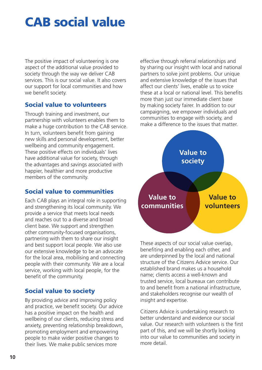# CAB social value

The positive impact of volunteering is one aspect of the additional value provided to society through the way we deliver CAB services. This is our social value. It also covers our support for local communities and how we benefit society.

#### Social value to volunteers

Through training and investment, our partnership with volunteers enables them to make a huge contribution to the CAB service. In turn, volunteers benefit from gaining new skills and personal development, better wellbeing and community engagement. These positive effects on individuals' lives have additional value for society, through the advantages and savings associated with happier, healthier and more productive members of the community.

### Social value to communities

Each CAB plays an integral role in supporting and strengthening its local community. We provide a service that meets local needs and reaches out to a diverse and broad client base. We support and strengthen other community-focused organisations, partnering with them to share our insight and best support local people. We also use our extensive knowledge to be an advocate for the local area, mobilising and connecting people with their community. We are a local service, working with local people, for the benefit of the community.

#### Social value to society

By providing advice and improving policy and practice, we benefit society. Our advice has a positive impact on the health and wellbeing of our clients, reducing stress and anxiety, preventing relationship breakdown, promoting employment and empowering people to make wider positive changes to their lives. We make public services more

effective through referral relationships and by sharing our insight with local and national partners to solve joint problems. Our unique and extensive knowledge of the issues that affect our clients' lives, enable us to voice these at a local or national level. This benefits more than just our immediate client base by making society fairer. In addition to our campaigning, we empower individuals and communities to engage with society, and make a difference to the issues that matter.



These aspects of our social value overlap, benefiting and enabling each other, and are underpinned by the local and national structure of the Citizens Advice service. Our established brand makes us a household name; clients access a well-known and trusted service, local bureaux can contribute to and benefit from a national infrastructure, and stakeholders recognise our wealth of insight and expertise.

Citizens Advice is undertaking research to better understand and evidence our social value. Our research with volunteers is the first part of this, and we will be shortly looking into our value to communities and society in more detail.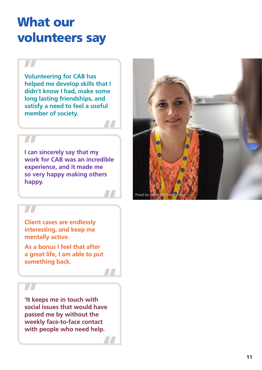# What our volunteers say

**Volunteering for CAB has helped me develop skills that I didn't know I had, make some long lasting friendships, and satisfy a need to feel a useful member of society.** 

**I can sincerely say that my work for CAB was an incredible experience, and it made me so very happy making others happy.** 

**Client cases are endlessly interesting, and keep me mentally active.** 

**As a bonus I feel that after a great life, I am able to put something back.**

**'It keeps me in touch with social issues that would have passed me by without the weekly face-to-face contact with people who need help.**